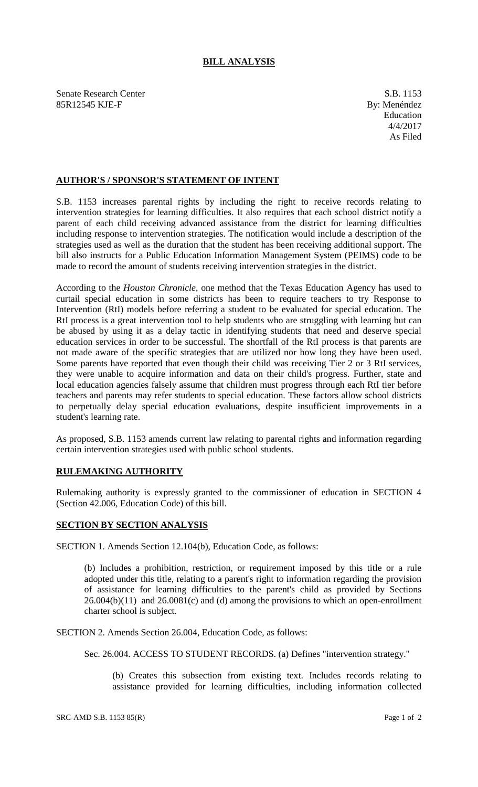## **BILL ANALYSIS**

Senate Research Center S.B. 1153 85R12545 KJE-F By: Menéndez

## **AUTHOR'S / SPONSOR'S STATEMENT OF INTENT**

S.B. 1153 increases parental rights by including the right to receive records relating to intervention strategies for learning difficulties. It also requires that each school district notify a parent of each child receiving advanced assistance from the district for learning difficulties including response to intervention strategies. The notification would include a description of the strategies used as well as the duration that the student has been receiving additional support. The bill also instructs for a Public Education Information Management System (PEIMS) code to be made to record the amount of students receiving intervention strategies in the district.

According to the *Houston Chronicle*, one method that the Texas Education Agency has used to curtail special education in some districts has been to require teachers to try Response to Intervention (RtI) models before referring a student to be evaluated for special education. The RtI process is a great intervention tool to help students who are struggling with learning but can be abused by using it as a delay tactic in identifying students that need and deserve special education services in order to be successful. The shortfall of the RtI process is that parents are not made aware of the specific strategies that are utilized nor how long they have been used. Some parents have reported that even though their child was receiving Tier 2 or 3 RtI services, they were unable to acquire information and data on their child's progress. Further, state and local education agencies falsely assume that children must progress through each RtI tier before teachers and parents may refer students to special education. These factors allow school districts to perpetually delay special education evaluations, despite insufficient improvements in a student's learning rate.

As proposed, S.B. 1153 amends current law relating to parental rights and information regarding certain intervention strategies used with public school students.

## **RULEMAKING AUTHORITY**

Rulemaking authority is expressly granted to the commissioner of education in SECTION 4 (Section 42.006, Education Code) of this bill.

## **SECTION BY SECTION ANALYSIS**

SECTION 1. Amends Section 12.104(b), Education Code, as follows:

(b) Includes a prohibition, restriction, or requirement imposed by this title or a rule adopted under this title, relating to a parent's right to information regarding the provision of assistance for learning difficulties to the parent's child as provided by Sections  $26.004(b)(11)$  and  $26.0081(c)$  and (d) among the provisions to which an open-enrollment charter school is subject.

SECTION 2. Amends Section 26.004, Education Code, as follows:

Sec. 26.004. ACCESS TO STUDENT RECORDS. (a) Defines "intervention strategy."

(b) Creates this subsection from existing text. Includes records relating to assistance provided for learning difficulties, including information collected